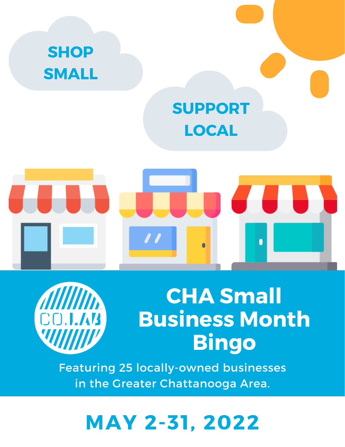



## **CHA Small Business Month Bingo**

Featuring 25 locally-owned businesses in the Greater Chattanooga Area.

### **MAY 2-31, 2022**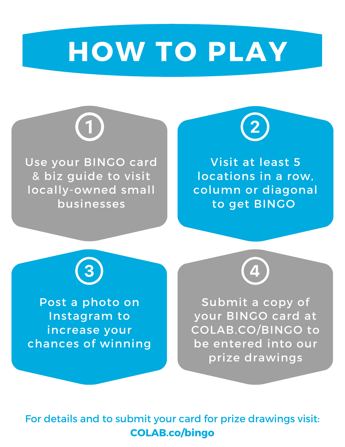## **HOW TO PLAY**



Use your BINGO card & biz guide to visit locally-owned small businesses



Visit at least 5 locations in a row, column or diagonal to get BINGO



Post a photo on Instagram to increase your chances of winning



Submit a copy of your BINGO card at COLAB.CO/BINGO to be entered into our prize drawings

For details and to submit your card for prize drawings visit: **COLAB.co/bingo**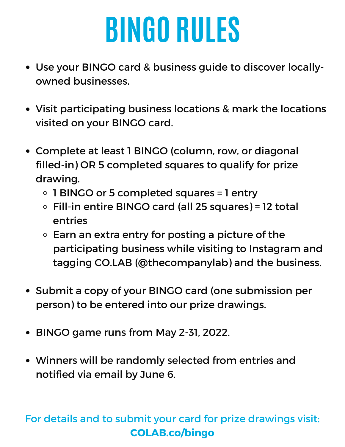# **BINGO RULES**

- Use your BINGO card & business guide to discover locallyowned businesses.
- Visit participating business locations & mark the locations visited on your BINGO card.
- Complete at least 1 BINGO (column, row, or diagonal filled-in) OR 5 completed squares to qualify for prize drawing.
	- 1 BINGO or 5 completed squares = 1 entry
	- Fill-in entire BINGO card (all 25 squares) = 12 total entries
	- $\circ$  Earn an extra entry for posting a picture of the participating business while visiting to Instagram and tagging CO.LAB (@thecompanylab) and the business.
- Submit a copy of your BINGO card (one submission per person) to be entered into our prize drawings.
- BINGO game runs from May 2-31, 2022.
- Winners will be randomly selected from entries and notified via email by June 6.

#### For details and to submit your card for prize drawings visit: **COLAB.co/bingo**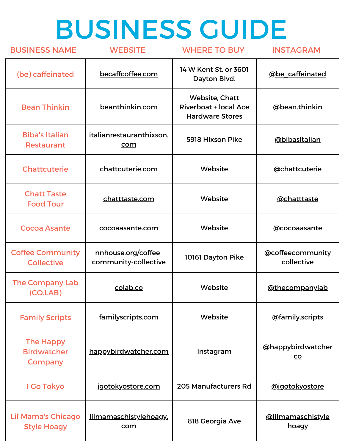# BUSINESS GUIDE

| <b>BUSINESS NAME</b>                              | <b>WEBSITE</b>                              | <b>WHERE TO BUY</b>                                                      | <b>INSTAGRAM</b>                      |  |
|---------------------------------------------------|---------------------------------------------|--------------------------------------------------------------------------|---------------------------------------|--|
| (be) caffeinated                                  | becaffcoffee.com                            | 14 W Kent St. or 3601<br>Dayton Blvd.                                    | @be caffeinated                       |  |
| <b>Bean Thinkin</b>                               | beanthinkin.com                             | Website, Chatt<br><b>Riverboat + local Ace</b><br><b>Hardware Stores</b> | @bean.thinkin                         |  |
| <b>Biba's Italian</b><br><b>Restaurant</b>        | italianrestauranthixson.<br>com             | 5918 Hixson Pike                                                         | @bibasitalian                         |  |
| <b>Chattcuterie</b>                               | Website<br>chattcuterie.com                 |                                                                          | <u>@chattcuterie</u>                  |  |
| <b>Chatt Taste</b><br><b>Food Tour</b>            | chatttaste.com                              | Website                                                                  | @chatttaste                           |  |
| <b>Cocoa Asante</b>                               | cocoaasante.com                             | Website                                                                  |                                       |  |
| <b>Coffee Community</b><br><b>Collective</b>      | nnhouse.org/coffee-<br>community-collective | 10161 Dayton Pike                                                        | @coffeecommunity<br>collective        |  |
| <b>The Company Lab</b><br>(CO.LAB)                | colab.co                                    | Website                                                                  | @thecompanylab                        |  |
| <b>Family Scripts</b>                             | familyscripts.com                           | Website                                                                  | <b>@family.scripts</b>                |  |
| <b>The Happy</b><br><b>Birdwatcher</b><br>Company | happybirdwatcher.com                        | Instagram                                                                | <b>@happybirdwatcher</b><br><u>co</u> |  |
| I Go Tokyo                                        | igotokyostore.com                           | 205 Manufacturers Rd                                                     | <u>@igotokyostore</u>                 |  |
| <b>Lil Mama's Chicago</b><br><b>Style Hoagy</b>   | lilmamaschistylehoagy.<br>com               | 818 Georgia Ave                                                          | <u>@lilmamaschistyle</u><br>hoagy     |  |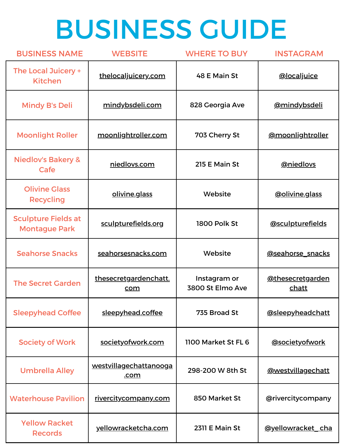# BUSINESS GUIDE

| <b>BUSINESS NAME</b>                               | <b>WEBSITE</b>                                                          | <b>WHERE TO BUY</b>   | <b>INSTAGRAM</b>                 |
|----------------------------------------------------|-------------------------------------------------------------------------|-----------------------|----------------------------------|
| The Local Juicery +<br><b>Kitchen</b>              | thelocaljuicery.com                                                     | 48 E Main St          | <b>@localjuice</b>               |
| <b>Mindy B's Deli</b>                              | mindybsdeli.com<br>828 Georgia Ave                                      |                       | <u>@mindybsdeli</u>              |
| <b>Moonlight Roller</b>                            | 703 Cherry St<br>moonlightroller.com                                    |                       | @moonlightroller                 |
| <b>Niedlov's Bakery &amp;</b><br>Cafe              | 215 E Main St<br>niedlovs.com                                           |                       | <b>@niedlovs</b>                 |
| <b>Olivine Glass</b><br><b>Recycling</b>           | olivine.glass                                                           | Website               |                                  |
| <b>Sculpture Fields at</b><br><b>Montague Park</b> | sculpturefields.org                                                     | <b>1800 Polk St</b>   |                                  |
| <b>Seahorse Snacks</b>                             | seahorsesnacks.com                                                      | Website               | @seahorse snacks                 |
| <b>The Secret Garden</b>                           | thesecretgardenchatt.<br>Instagram or<br>3800 St Elmo Ave<br><u>com</u> |                       | @thesecretgarden<br><u>chatt</u> |
| <b>Sleepyhead Coffee</b>                           | sleepyhead.coffee                                                       | 735 Broad St          | @sleepyheadchatt                 |
| <b>Society of Work</b>                             | societyofwork.com                                                       | 1100 Market St FL 6   | @societyofwork                   |
| <b>Umbrella Alley</b>                              | westvillagechattanooga<br><u>.com</u>                                   | 298-200 W 8th St      | @westvillagechatt                |
| <b>Waterhouse Pavilion</b>                         | rivercitycompany.com                                                    | 850 Market St         | @rivercitycompany                |
| <b>Yellow Racket</b><br><b>Records</b>             | yellowracketcha.com                                                     | <b>2311 E Main St</b> | <u>@yellowracket_cha</u>         |